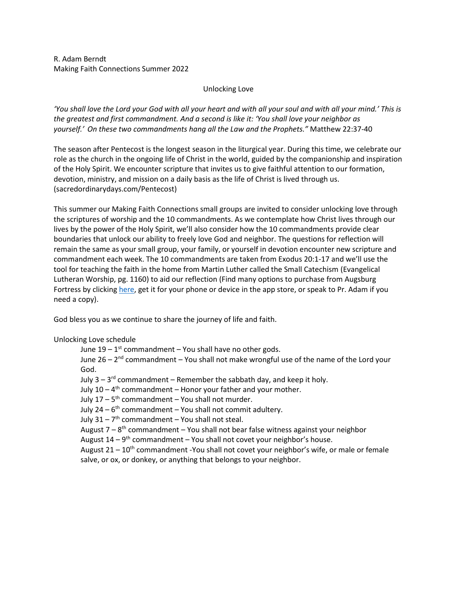R. Adam Berndt Making Faith Connections Summer 2022

## Unlocking Love

*'You shall love the Lord your God with all your heart and with all your soul and with all your mind.' This is the greatest and first commandment. And a second is like it: 'You shall love your neighbor as yourself.' On these two commandments hang all the Law and the Prophets."* Matthew 22:37-40

The season after Pentecost is the longest season in the liturgical year. During this time, we celebrate our role as the church in the ongoing life of Christ in the world, guided by the companionship and inspiration of the Holy Spirit. We encounter scripture that invites us to give faithful attention to our formation, devotion, ministry, and mission on a daily basis as the life of Christ is lived through us. (sacredordinarydays.com/Pentecost)

This summer our Making Faith Connections small groups are invited to consider unlocking love through the scriptures of worship and the 10 commandments. As we contemplate how Christ lives through our lives by the power of the Holy Spirit, we'll also consider how the 10 commandments provide clear boundaries that unlock our ability to freely love God and neighbor. The questions for reflection will remain the same as your small group, your family, or yourself in devotion encounter new scripture and commandment each week. The 10 commandments are taken from Exodus 20:1-17 and we'll use the tool for teaching the faith in the home from Martin Luther called the Small Catechism (Evangelical Lutheran Worship, pg. 1160) to aid our reflection (Find many options to purchase from Augsburg Fortress by clickin[g here,](https://www.augsburgfortress.org/store/search?ss=small+catechism&c=0) get it for your phone or device in the app store, or speak to Pr. Adam if you need a copy).

God bless you as we continue to share the journey of life and faith.

## Unlocking Love schedule

June  $19-1$ <sup>st</sup> commandment – You shall have no other gods.

June 26 – 2<sup>nd</sup> commandment – You shall not make wrongful use of the name of the Lord your God.

July 3 – 3<sup>rd</sup> commandment – Remember the sabbath day, and keep it holy.

July 10 –  $4^{\text{th}}$  commandment – Honor your father and your mother.

July 17 – 5<sup>th</sup> commandment – You shall not murder.

July 24 – 6<sup>th</sup> commandment – You shall not commit adultery.

July 31 – 7<sup>th</sup> commandment – You shall not steal.

August 7 – 8<sup>th</sup> commandment – You shall not bear false witness against your neighbor

August 14 – 9<sup>th</sup> commandment – You shall not covet your neighbor's house.

August  $21 - 10^{th}$  commandment -You shall not covet your neighbor's wife, or male or female salve, or ox, or donkey, or anything that belongs to your neighbor.